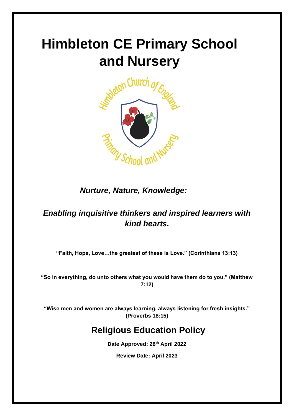# **Himbleton CE Primary School and Nursery**



*Nurture, Nature, Knowledge:*

# *Enabling inquisitive thinkers and inspired learners with kind hearts.*

**"Faith, Hope, Love…the greatest of these is Love." (Corinthians 13:13)**

**"So in everything, do unto others what you would have them do to you." (Matthew 7:12)**

**"Wise men and women are always learning, always listening for fresh insights." (Proverbs 18:15)**

# **Religious Education Policy**

**Date Approved: 28th April 2022**

**Review Date: April 2023**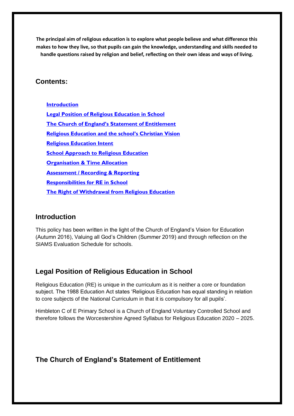**The principal aim of religious education is to explore what people believe and what difference this makes to how they live, so that pupils can gain the knowledge, understanding and skills needed to handle questions raised by religion and belief, reflecting on their own ideas and ways of living.** 

#### **Contents:**

**Introduction Legal Position of Religious Education in School The Church of England's Statement of Entitlement Religious Education and the school's Christian Vision Religious Education Intent School Approach to Religious Education Organisation & Time Allocation Assessment / Recording & Reporting Responsibilities for RE in School The Right of Withdrawal from Religious Education**

#### **Introduction**

This policy has been written in the light of the Church of England's Vision for Education (Autumn 2016), Valuing all God's Children (Summer 2019) and through reflection on the SIAMS Evaluation Schedule for schools.

## **Legal Position of Religious Education in School**

Religious Education (RE) is unique in the curriculum as it is neither a core or foundation subject. The 1988 Education Act states 'Religious Education has equal standing in relation to core subjects of the National Curriculum in that it is compulsory for all pupils'.

Himbleton C of E Primary School is a Church of England Voluntary Controlled School and therefore follows the Worcestershire Agreed Syllabus for Religious Education 2020 – 2025.

## **The Church of England's Statement of Entitlement**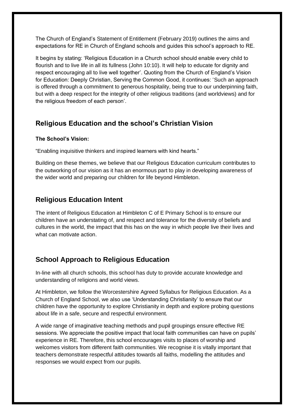The Church of England's Statement of Entitlement (February 2019) outlines the aims and expectations for RE in Church of England schools and guides this school's approach to RE.

It begins by stating: 'Religious Education in a Church school should enable every child to flourish and to live life in all its fullness (John 10:10). It will help to educate for dignity and respect encouraging all to live well together'. Quoting from the Church of England's Vision for Education: Deeply Christian, Serving the Common Good, it continues: 'Such an approach is offered through a commitment to generous hospitality, being true to our underpinning faith, but with a deep respect for the integrity of other religious traditions (and worldviews) and for the religious freedom of each person'.

## **Religious Education and the school's Christian Vision**

#### **The School's Vision:**

"Enabling inquisitive thinkers and inspired learners with kind hearts."

Building on these themes, we believe that our Religious Education curriculum contributes to the outworking of our vision as it has an enormous part to play in developing awareness of the wider world and preparing our children for life beyond Himbleton.

## **Religious Education Intent**

The intent of Religious Education at Himbleton C of E Primary School is to ensure our children have an understating of, and respect and tolerance for the diversity of beliefs and cultures in the world, the impact that this has on the way in which people live their lives and what can motivate action.

## **School Approach to Religious Education**

In-line with all church schools, this school has duty to provide accurate knowledge and understanding of religions and world views.

At Himbleton, we follow the Worcestershire Agreed Syllabus for Religious Education. As a Church of England School, we also use 'Understanding Christianity' to ensure that our children have the opportunity to explore Christianity in depth and explore probing questions about life in a safe, secure and respectful environment.

A wide range of imaginative teaching methods and pupil groupings ensure effective RE sessions. We appreciate the positive impact that local faith communities can have on pupils' experience in RE. Therefore, this school encourages visits to places of worship and welcomes visitors from different faith communities. We recognise it is vitally important that teachers demonstrate respectful attitudes towards all faiths, modelling the attitudes and responses we would expect from our pupils.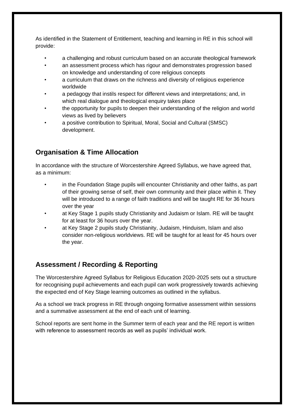As identified in the Statement of Entitlement, teaching and learning in RE in this school will provide:

- a challenging and robust curriculum based on an accurate theological framework
- an assessment process which has rigour and demonstrates progression based on knowledge and understanding of core religious concepts
- a curriculum that draws on the richness and diversity of religious experience worldwide
- a pedagogy that instils respect for different views and interpretations; and, in which real dialogue and theological enquiry takes place
- the opportunity for pupils to deepen their understanding of the religion and world views as lived by believers
- a positive contribution to Spiritual, Moral, Social and Cultural (SMSC) development.

# **Organisation & Time Allocation**

In accordance with the structure of Worcestershire Agreed Syllabus, we have agreed that, as a minimum:

- in the Foundation Stage pupils will encounter Christianity and other faiths, as part of their growing sense of self, their own community and their place within it. They will be introduced to a range of faith traditions and will be taught RE for 36 hours over the year
- at Key Stage 1 pupils study Christianity and Judaism or Islam. RE will be taught for at least for 36 hours over the year.
- at Key Stage 2 pupils study Christianity, Judaism, Hinduism, Islam and also consider non-religious worldviews. RE will be taught for at least for 45 hours over the year.

# **Assessment / Recording & Reporting**

The Worcestershire Agreed Syllabus for Religious Education 2020-2025 sets out a structure for recognising pupil achievements and each pupil can work progressively towards achieving the expected end of Key Stage learning outcomes as outlined in the syllabus.

As a school we track progress in RE through ongoing formative assessment within sessions and a summative assessment at the end of each unit of learning.

School reports are sent home in the Summer term of each year and the RE report is written with reference to assessment records as well as pupils' individual work.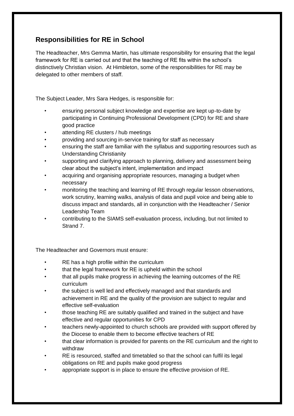## **Responsibilities for RE in School**

The Headteacher, Mrs Gemma Martin, has ultimate responsibility for ensuring that the legal framework for RE is carried out and that the teaching of RE fits within the school's distinctively Christian vision. At Himbleton, some of the responsibilities for RE may be delegated to other members of staff.

The Subject Leader, Mrs Sara Hedges, is responsible for:

- ensuring personal subject knowledge and expertise are kept up-to-date by participating in Continuing Professional Development (CPD) for RE and share good practice
- attending RE clusters / hub meetings
- providing and sourcing in-service training for staff as necessary
- ensuring the staff are familiar with the syllabus and supporting resources such as Understanding Christianity
- supporting and clarifying approach to planning, delivery and assessment being clear about the subject's intent, implementation and impact
- acquiring and organising appropriate resources, managing a budget when necessary
- monitoring the teaching and learning of RE through regular lesson observations, work scrutiny, learning walks, analysis of data and pupil voice and being able to discuss impact and standards, all in conjunction with the Headteacher / Senior Leadership Team
- contributing to the SIAMS self-evaluation process, including, but not limited to Strand 7.

The Headteacher and Governors must ensure:

- RE has a high profile within the curriculum
- that the legal framework for RE is upheld within the school
- that all pupils make progress in achieving the learning outcomes of the RE curriculum
- the subject is well led and effectively managed and that standards and achievement in RE and the quality of the provision are subject to regular and effective self-evaluation
- those teaching RE are suitably qualified and trained in the subject and have effective and regular opportunities for CPD
- teachers newly-appointed to church schools are provided with support offered by the Diocese to enable them to become effective teachers of RE
- that clear information is provided for parents on the RE curriculum and the right to withdraw
- RE is resourced, staffed and timetabled so that the school can fulfil its legal obligations on RE and pupils make good progress
- appropriate support is in place to ensure the effective provision of RE.